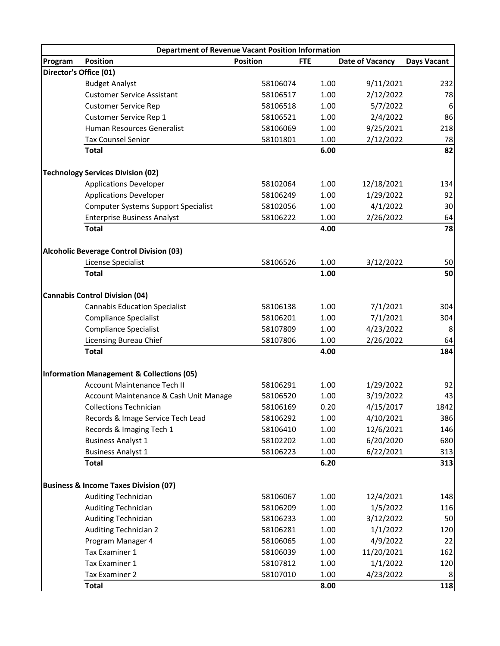| <b>Position</b><br>Program<br><b>Position</b><br><b>FTE</b><br><b>Date of Vacancy</b><br><b>Days Vacant</b><br>Director's Office (01)<br>1.00<br>9/11/2021<br>232<br><b>Budget Analyst</b><br>58106074<br><b>Customer Service Assistant</b><br>1.00<br>2/12/2022<br>78<br>58106517<br>5/7/2022<br>6<br><b>Customer Service Rep</b><br>58106518<br>1.00<br>86<br>Customer Service Rep 1<br>1.00<br>2/4/2022<br>58106521<br>9/25/2021<br>218<br>Human Resources Generalist<br>58106069<br>1.00<br><b>Tax Counsel Senior</b><br>58101801<br>1.00<br>2/12/2022<br>78<br>6.00<br>82<br><b>Total</b><br><b>Technology Services Division (02)</b><br><b>Applications Developer</b><br>1.00<br>12/18/2021<br>134<br>58102064<br><b>Applications Developer</b><br>1.00<br>1/29/2022<br>92<br>58106249<br><b>Computer Systems Support Specialist</b><br>4/1/2022<br>1.00<br>58102056<br>1.00<br>2/26/2022<br><b>Enterprise Business Analyst</b><br>58106222<br>64<br><b>Total</b><br>4.00<br><b>Alcoholic Beverage Control Division (03)</b><br>1.00<br>3/12/2022<br>50<br>License Specialist<br>58106526<br>1.00<br><b>Total</b><br><b>Cannabis Control Division (04)</b><br><b>Cannabis Education Specialist</b><br>7/1/2021<br>304<br>58106138<br>1.00<br><b>Compliance Specialist</b><br>58106201<br>1.00<br>7/1/2021<br>304<br>4/23/2022<br>8<br><b>Compliance Specialist</b><br>58107809<br>1.00<br>2/26/2022<br>Licensing Bureau Chief<br>58107806<br>1.00<br>64<br>4.00<br><b>Total</b><br>184<br><b>Information Management &amp; Collections (05)</b><br>92<br>Account Maintenance Tech II<br>1.00<br>1/29/2022<br>58106291<br>43<br>3/19/2022<br>Account Maintenance & Cash Unit Manage<br>58106520<br>1.00<br>1842<br>4/15/2017<br><b>Collections Technician</b><br>58106169<br>0.20<br>4/10/2021<br>Records & Image Service Tech Lead<br>1.00<br>386<br>58106292<br>Records & Imaging Tech 1<br>1.00<br>12/6/2021<br>146<br>58106410<br>6/20/2020<br><b>Business Analyst 1</b><br>1.00<br>680<br>58102202<br>58106223<br>1.00<br>6/22/2021<br>313<br><b>Business Analyst 1</b><br>6.20<br>313<br><b>Total</b><br><b>Business &amp; Income Taxes Division (07)</b><br><b>Auditing Technician</b><br>1.00<br>12/4/2021<br>58106067<br>148<br><b>Auditing Technician</b><br>58106209<br>1.00<br>1/5/2022<br>116<br><b>Auditing Technician</b><br>1.00<br>3/12/2022<br>50<br>58106233<br><b>Auditing Technician 2</b><br>1.00<br>1/1/2022<br>58106281<br>120<br>4/9/2022<br>Program Manager 4<br>58106065<br>1.00<br>22<br>Tax Examiner 1<br>11/20/2021<br>58106039<br>1.00<br>162 | <b>Department of Revenue Vacant Position Information</b> |          |      |          |     |  |  |  |  |
|----------------------------------------------------------------------------------------------------------------------------------------------------------------------------------------------------------------------------------------------------------------------------------------------------------------------------------------------------------------------------------------------------------------------------------------------------------------------------------------------------------------------------------------------------------------------------------------------------------------------------------------------------------------------------------------------------------------------------------------------------------------------------------------------------------------------------------------------------------------------------------------------------------------------------------------------------------------------------------------------------------------------------------------------------------------------------------------------------------------------------------------------------------------------------------------------------------------------------------------------------------------------------------------------------------------------------------------------------------------------------------------------------------------------------------------------------------------------------------------------------------------------------------------------------------------------------------------------------------------------------------------------------------------------------------------------------------------------------------------------------------------------------------------------------------------------------------------------------------------------------------------------------------------------------------------------------------------------------------------------------------------------------------------------------------------------------------------------------------------------------------------------------------------------------------------------------------------------------------------------------------------------------------------------------------------------------------------------------------------------------------------------------------------------------------------------------------------------------------------------------------------------------------------------------------------------------------|----------------------------------------------------------|----------|------|----------|-----|--|--|--|--|
|                                                                                                                                                                                                                                                                                                                                                                                                                                                                                                                                                                                                                                                                                                                                                                                                                                                                                                                                                                                                                                                                                                                                                                                                                                                                                                                                                                                                                                                                                                                                                                                                                                                                                                                                                                                                                                                                                                                                                                                                                                                                                                                                                                                                                                                                                                                                                                                                                                                                                                                                                                                  |                                                          |          |      |          |     |  |  |  |  |
|                                                                                                                                                                                                                                                                                                                                                                                                                                                                                                                                                                                                                                                                                                                                                                                                                                                                                                                                                                                                                                                                                                                                                                                                                                                                                                                                                                                                                                                                                                                                                                                                                                                                                                                                                                                                                                                                                                                                                                                                                                                                                                                                                                                                                                                                                                                                                                                                                                                                                                                                                                                  |                                                          |          |      |          |     |  |  |  |  |
|                                                                                                                                                                                                                                                                                                                                                                                                                                                                                                                                                                                                                                                                                                                                                                                                                                                                                                                                                                                                                                                                                                                                                                                                                                                                                                                                                                                                                                                                                                                                                                                                                                                                                                                                                                                                                                                                                                                                                                                                                                                                                                                                                                                                                                                                                                                                                                                                                                                                                                                                                                                  |                                                          |          |      |          |     |  |  |  |  |
|                                                                                                                                                                                                                                                                                                                                                                                                                                                                                                                                                                                                                                                                                                                                                                                                                                                                                                                                                                                                                                                                                                                                                                                                                                                                                                                                                                                                                                                                                                                                                                                                                                                                                                                                                                                                                                                                                                                                                                                                                                                                                                                                                                                                                                                                                                                                                                                                                                                                                                                                                                                  |                                                          |          |      |          |     |  |  |  |  |
|                                                                                                                                                                                                                                                                                                                                                                                                                                                                                                                                                                                                                                                                                                                                                                                                                                                                                                                                                                                                                                                                                                                                                                                                                                                                                                                                                                                                                                                                                                                                                                                                                                                                                                                                                                                                                                                                                                                                                                                                                                                                                                                                                                                                                                                                                                                                                                                                                                                                                                                                                                                  |                                                          |          |      |          |     |  |  |  |  |
|                                                                                                                                                                                                                                                                                                                                                                                                                                                                                                                                                                                                                                                                                                                                                                                                                                                                                                                                                                                                                                                                                                                                                                                                                                                                                                                                                                                                                                                                                                                                                                                                                                                                                                                                                                                                                                                                                                                                                                                                                                                                                                                                                                                                                                                                                                                                                                                                                                                                                                                                                                                  |                                                          |          |      |          |     |  |  |  |  |
|                                                                                                                                                                                                                                                                                                                                                                                                                                                                                                                                                                                                                                                                                                                                                                                                                                                                                                                                                                                                                                                                                                                                                                                                                                                                                                                                                                                                                                                                                                                                                                                                                                                                                                                                                                                                                                                                                                                                                                                                                                                                                                                                                                                                                                                                                                                                                                                                                                                                                                                                                                                  |                                                          |          |      |          |     |  |  |  |  |
|                                                                                                                                                                                                                                                                                                                                                                                                                                                                                                                                                                                                                                                                                                                                                                                                                                                                                                                                                                                                                                                                                                                                                                                                                                                                                                                                                                                                                                                                                                                                                                                                                                                                                                                                                                                                                                                                                                                                                                                                                                                                                                                                                                                                                                                                                                                                                                                                                                                                                                                                                                                  |                                                          |          |      |          |     |  |  |  |  |
|                                                                                                                                                                                                                                                                                                                                                                                                                                                                                                                                                                                                                                                                                                                                                                                                                                                                                                                                                                                                                                                                                                                                                                                                                                                                                                                                                                                                                                                                                                                                                                                                                                                                                                                                                                                                                                                                                                                                                                                                                                                                                                                                                                                                                                                                                                                                                                                                                                                                                                                                                                                  |                                                          |          |      |          |     |  |  |  |  |
|                                                                                                                                                                                                                                                                                                                                                                                                                                                                                                                                                                                                                                                                                                                                                                                                                                                                                                                                                                                                                                                                                                                                                                                                                                                                                                                                                                                                                                                                                                                                                                                                                                                                                                                                                                                                                                                                                                                                                                                                                                                                                                                                                                                                                                                                                                                                                                                                                                                                                                                                                                                  |                                                          |          |      |          |     |  |  |  |  |
|                                                                                                                                                                                                                                                                                                                                                                                                                                                                                                                                                                                                                                                                                                                                                                                                                                                                                                                                                                                                                                                                                                                                                                                                                                                                                                                                                                                                                                                                                                                                                                                                                                                                                                                                                                                                                                                                                                                                                                                                                                                                                                                                                                                                                                                                                                                                                                                                                                                                                                                                                                                  |                                                          |          |      |          |     |  |  |  |  |
|                                                                                                                                                                                                                                                                                                                                                                                                                                                                                                                                                                                                                                                                                                                                                                                                                                                                                                                                                                                                                                                                                                                                                                                                                                                                                                                                                                                                                                                                                                                                                                                                                                                                                                                                                                                                                                                                                                                                                                                                                                                                                                                                                                                                                                                                                                                                                                                                                                                                                                                                                                                  |                                                          |          |      |          |     |  |  |  |  |
|                                                                                                                                                                                                                                                                                                                                                                                                                                                                                                                                                                                                                                                                                                                                                                                                                                                                                                                                                                                                                                                                                                                                                                                                                                                                                                                                                                                                                                                                                                                                                                                                                                                                                                                                                                                                                                                                                                                                                                                                                                                                                                                                                                                                                                                                                                                                                                                                                                                                                                                                                                                  |                                                          |          |      |          | 30  |  |  |  |  |
|                                                                                                                                                                                                                                                                                                                                                                                                                                                                                                                                                                                                                                                                                                                                                                                                                                                                                                                                                                                                                                                                                                                                                                                                                                                                                                                                                                                                                                                                                                                                                                                                                                                                                                                                                                                                                                                                                                                                                                                                                                                                                                                                                                                                                                                                                                                                                                                                                                                                                                                                                                                  |                                                          |          |      |          |     |  |  |  |  |
|                                                                                                                                                                                                                                                                                                                                                                                                                                                                                                                                                                                                                                                                                                                                                                                                                                                                                                                                                                                                                                                                                                                                                                                                                                                                                                                                                                                                                                                                                                                                                                                                                                                                                                                                                                                                                                                                                                                                                                                                                                                                                                                                                                                                                                                                                                                                                                                                                                                                                                                                                                                  |                                                          |          |      |          | 78  |  |  |  |  |
|                                                                                                                                                                                                                                                                                                                                                                                                                                                                                                                                                                                                                                                                                                                                                                                                                                                                                                                                                                                                                                                                                                                                                                                                                                                                                                                                                                                                                                                                                                                                                                                                                                                                                                                                                                                                                                                                                                                                                                                                                                                                                                                                                                                                                                                                                                                                                                                                                                                                                                                                                                                  |                                                          |          |      |          |     |  |  |  |  |
|                                                                                                                                                                                                                                                                                                                                                                                                                                                                                                                                                                                                                                                                                                                                                                                                                                                                                                                                                                                                                                                                                                                                                                                                                                                                                                                                                                                                                                                                                                                                                                                                                                                                                                                                                                                                                                                                                                                                                                                                                                                                                                                                                                                                                                                                                                                                                                                                                                                                                                                                                                                  |                                                          |          |      |          |     |  |  |  |  |
|                                                                                                                                                                                                                                                                                                                                                                                                                                                                                                                                                                                                                                                                                                                                                                                                                                                                                                                                                                                                                                                                                                                                                                                                                                                                                                                                                                                                                                                                                                                                                                                                                                                                                                                                                                                                                                                                                                                                                                                                                                                                                                                                                                                                                                                                                                                                                                                                                                                                                                                                                                                  |                                                          |          |      |          | 50  |  |  |  |  |
|                                                                                                                                                                                                                                                                                                                                                                                                                                                                                                                                                                                                                                                                                                                                                                                                                                                                                                                                                                                                                                                                                                                                                                                                                                                                                                                                                                                                                                                                                                                                                                                                                                                                                                                                                                                                                                                                                                                                                                                                                                                                                                                                                                                                                                                                                                                                                                                                                                                                                                                                                                                  |                                                          |          |      |          |     |  |  |  |  |
|                                                                                                                                                                                                                                                                                                                                                                                                                                                                                                                                                                                                                                                                                                                                                                                                                                                                                                                                                                                                                                                                                                                                                                                                                                                                                                                                                                                                                                                                                                                                                                                                                                                                                                                                                                                                                                                                                                                                                                                                                                                                                                                                                                                                                                                                                                                                                                                                                                                                                                                                                                                  |                                                          |          |      |          |     |  |  |  |  |
|                                                                                                                                                                                                                                                                                                                                                                                                                                                                                                                                                                                                                                                                                                                                                                                                                                                                                                                                                                                                                                                                                                                                                                                                                                                                                                                                                                                                                                                                                                                                                                                                                                                                                                                                                                                                                                                                                                                                                                                                                                                                                                                                                                                                                                                                                                                                                                                                                                                                                                                                                                                  |                                                          |          |      |          |     |  |  |  |  |
|                                                                                                                                                                                                                                                                                                                                                                                                                                                                                                                                                                                                                                                                                                                                                                                                                                                                                                                                                                                                                                                                                                                                                                                                                                                                                                                                                                                                                                                                                                                                                                                                                                                                                                                                                                                                                                                                                                                                                                                                                                                                                                                                                                                                                                                                                                                                                                                                                                                                                                                                                                                  |                                                          |          |      |          |     |  |  |  |  |
|                                                                                                                                                                                                                                                                                                                                                                                                                                                                                                                                                                                                                                                                                                                                                                                                                                                                                                                                                                                                                                                                                                                                                                                                                                                                                                                                                                                                                                                                                                                                                                                                                                                                                                                                                                                                                                                                                                                                                                                                                                                                                                                                                                                                                                                                                                                                                                                                                                                                                                                                                                                  |                                                          |          |      |          |     |  |  |  |  |
|                                                                                                                                                                                                                                                                                                                                                                                                                                                                                                                                                                                                                                                                                                                                                                                                                                                                                                                                                                                                                                                                                                                                                                                                                                                                                                                                                                                                                                                                                                                                                                                                                                                                                                                                                                                                                                                                                                                                                                                                                                                                                                                                                                                                                                                                                                                                                                                                                                                                                                                                                                                  |                                                          |          |      |          |     |  |  |  |  |
|                                                                                                                                                                                                                                                                                                                                                                                                                                                                                                                                                                                                                                                                                                                                                                                                                                                                                                                                                                                                                                                                                                                                                                                                                                                                                                                                                                                                                                                                                                                                                                                                                                                                                                                                                                                                                                                                                                                                                                                                                                                                                                                                                                                                                                                                                                                                                                                                                                                                                                                                                                                  |                                                          |          |      |          |     |  |  |  |  |
|                                                                                                                                                                                                                                                                                                                                                                                                                                                                                                                                                                                                                                                                                                                                                                                                                                                                                                                                                                                                                                                                                                                                                                                                                                                                                                                                                                                                                                                                                                                                                                                                                                                                                                                                                                                                                                                                                                                                                                                                                                                                                                                                                                                                                                                                                                                                                                                                                                                                                                                                                                                  |                                                          |          |      |          |     |  |  |  |  |
|                                                                                                                                                                                                                                                                                                                                                                                                                                                                                                                                                                                                                                                                                                                                                                                                                                                                                                                                                                                                                                                                                                                                                                                                                                                                                                                                                                                                                                                                                                                                                                                                                                                                                                                                                                                                                                                                                                                                                                                                                                                                                                                                                                                                                                                                                                                                                                                                                                                                                                                                                                                  |                                                          |          |      |          |     |  |  |  |  |
|                                                                                                                                                                                                                                                                                                                                                                                                                                                                                                                                                                                                                                                                                                                                                                                                                                                                                                                                                                                                                                                                                                                                                                                                                                                                                                                                                                                                                                                                                                                                                                                                                                                                                                                                                                                                                                                                                                                                                                                                                                                                                                                                                                                                                                                                                                                                                                                                                                                                                                                                                                                  |                                                          |          |      |          |     |  |  |  |  |
|                                                                                                                                                                                                                                                                                                                                                                                                                                                                                                                                                                                                                                                                                                                                                                                                                                                                                                                                                                                                                                                                                                                                                                                                                                                                                                                                                                                                                                                                                                                                                                                                                                                                                                                                                                                                                                                                                                                                                                                                                                                                                                                                                                                                                                                                                                                                                                                                                                                                                                                                                                                  |                                                          |          |      |          |     |  |  |  |  |
|                                                                                                                                                                                                                                                                                                                                                                                                                                                                                                                                                                                                                                                                                                                                                                                                                                                                                                                                                                                                                                                                                                                                                                                                                                                                                                                                                                                                                                                                                                                                                                                                                                                                                                                                                                                                                                                                                                                                                                                                                                                                                                                                                                                                                                                                                                                                                                                                                                                                                                                                                                                  |                                                          |          |      |          |     |  |  |  |  |
|                                                                                                                                                                                                                                                                                                                                                                                                                                                                                                                                                                                                                                                                                                                                                                                                                                                                                                                                                                                                                                                                                                                                                                                                                                                                                                                                                                                                                                                                                                                                                                                                                                                                                                                                                                                                                                                                                                                                                                                                                                                                                                                                                                                                                                                                                                                                                                                                                                                                                                                                                                                  |                                                          |          |      |          |     |  |  |  |  |
|                                                                                                                                                                                                                                                                                                                                                                                                                                                                                                                                                                                                                                                                                                                                                                                                                                                                                                                                                                                                                                                                                                                                                                                                                                                                                                                                                                                                                                                                                                                                                                                                                                                                                                                                                                                                                                                                                                                                                                                                                                                                                                                                                                                                                                                                                                                                                                                                                                                                                                                                                                                  |                                                          |          |      |          |     |  |  |  |  |
|                                                                                                                                                                                                                                                                                                                                                                                                                                                                                                                                                                                                                                                                                                                                                                                                                                                                                                                                                                                                                                                                                                                                                                                                                                                                                                                                                                                                                                                                                                                                                                                                                                                                                                                                                                                                                                                                                                                                                                                                                                                                                                                                                                                                                                                                                                                                                                                                                                                                                                                                                                                  |                                                          |          |      |          |     |  |  |  |  |
|                                                                                                                                                                                                                                                                                                                                                                                                                                                                                                                                                                                                                                                                                                                                                                                                                                                                                                                                                                                                                                                                                                                                                                                                                                                                                                                                                                                                                                                                                                                                                                                                                                                                                                                                                                                                                                                                                                                                                                                                                                                                                                                                                                                                                                                                                                                                                                                                                                                                                                                                                                                  |                                                          |          |      |          |     |  |  |  |  |
|                                                                                                                                                                                                                                                                                                                                                                                                                                                                                                                                                                                                                                                                                                                                                                                                                                                                                                                                                                                                                                                                                                                                                                                                                                                                                                                                                                                                                                                                                                                                                                                                                                                                                                                                                                                                                                                                                                                                                                                                                                                                                                                                                                                                                                                                                                                                                                                                                                                                                                                                                                                  |                                                          |          |      |          |     |  |  |  |  |
|                                                                                                                                                                                                                                                                                                                                                                                                                                                                                                                                                                                                                                                                                                                                                                                                                                                                                                                                                                                                                                                                                                                                                                                                                                                                                                                                                                                                                                                                                                                                                                                                                                                                                                                                                                                                                                                                                                                                                                                                                                                                                                                                                                                                                                                                                                                                                                                                                                                                                                                                                                                  |                                                          |          |      |          |     |  |  |  |  |
|                                                                                                                                                                                                                                                                                                                                                                                                                                                                                                                                                                                                                                                                                                                                                                                                                                                                                                                                                                                                                                                                                                                                                                                                                                                                                                                                                                                                                                                                                                                                                                                                                                                                                                                                                                                                                                                                                                                                                                                                                                                                                                                                                                                                                                                                                                                                                                                                                                                                                                                                                                                  |                                                          |          |      |          |     |  |  |  |  |
|                                                                                                                                                                                                                                                                                                                                                                                                                                                                                                                                                                                                                                                                                                                                                                                                                                                                                                                                                                                                                                                                                                                                                                                                                                                                                                                                                                                                                                                                                                                                                                                                                                                                                                                                                                                                                                                                                                                                                                                                                                                                                                                                                                                                                                                                                                                                                                                                                                                                                                                                                                                  |                                                          |          |      |          |     |  |  |  |  |
|                                                                                                                                                                                                                                                                                                                                                                                                                                                                                                                                                                                                                                                                                                                                                                                                                                                                                                                                                                                                                                                                                                                                                                                                                                                                                                                                                                                                                                                                                                                                                                                                                                                                                                                                                                                                                                                                                                                                                                                                                                                                                                                                                                                                                                                                                                                                                                                                                                                                                                                                                                                  |                                                          |          |      |          |     |  |  |  |  |
|                                                                                                                                                                                                                                                                                                                                                                                                                                                                                                                                                                                                                                                                                                                                                                                                                                                                                                                                                                                                                                                                                                                                                                                                                                                                                                                                                                                                                                                                                                                                                                                                                                                                                                                                                                                                                                                                                                                                                                                                                                                                                                                                                                                                                                                                                                                                                                                                                                                                                                                                                                                  |                                                          |          |      |          |     |  |  |  |  |
|                                                                                                                                                                                                                                                                                                                                                                                                                                                                                                                                                                                                                                                                                                                                                                                                                                                                                                                                                                                                                                                                                                                                                                                                                                                                                                                                                                                                                                                                                                                                                                                                                                                                                                                                                                                                                                                                                                                                                                                                                                                                                                                                                                                                                                                                                                                                                                                                                                                                                                                                                                                  |                                                          |          |      |          |     |  |  |  |  |
|                                                                                                                                                                                                                                                                                                                                                                                                                                                                                                                                                                                                                                                                                                                                                                                                                                                                                                                                                                                                                                                                                                                                                                                                                                                                                                                                                                                                                                                                                                                                                                                                                                                                                                                                                                                                                                                                                                                                                                                                                                                                                                                                                                                                                                                                                                                                                                                                                                                                                                                                                                                  | Tax Examiner 1                                           | 58107812 | 1.00 | 1/1/2022 | 120 |  |  |  |  |
| Tax Examiner 2<br>58107010<br>1.00<br>4/23/2022<br>8                                                                                                                                                                                                                                                                                                                                                                                                                                                                                                                                                                                                                                                                                                                                                                                                                                                                                                                                                                                                                                                                                                                                                                                                                                                                                                                                                                                                                                                                                                                                                                                                                                                                                                                                                                                                                                                                                                                                                                                                                                                                                                                                                                                                                                                                                                                                                                                                                                                                                                                             |                                                          |          |      |          |     |  |  |  |  |
| 118<br><b>Total</b><br>8.00                                                                                                                                                                                                                                                                                                                                                                                                                                                                                                                                                                                                                                                                                                                                                                                                                                                                                                                                                                                                                                                                                                                                                                                                                                                                                                                                                                                                                                                                                                                                                                                                                                                                                                                                                                                                                                                                                                                                                                                                                                                                                                                                                                                                                                                                                                                                                                                                                                                                                                                                                      |                                                          |          |      |          |     |  |  |  |  |